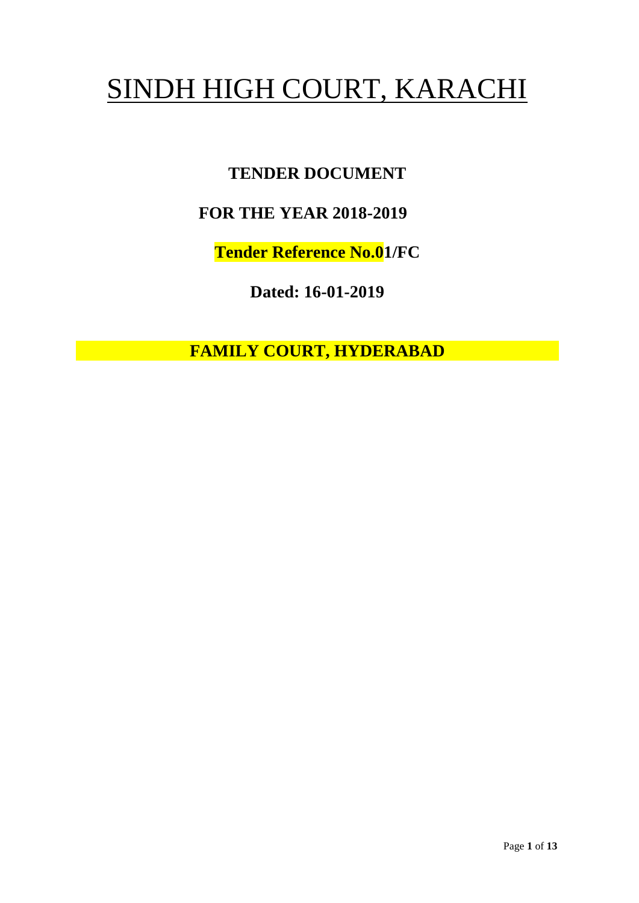# SINDH HIGH COURT, KARACHI

# **TENDER DOCUMENT**

## **FOR THE YEAR 2018-2019**

**Tender Reference No.01/FC**

**Dated: 16-01-2019**

**FAMILY COURT, HYDERABAD**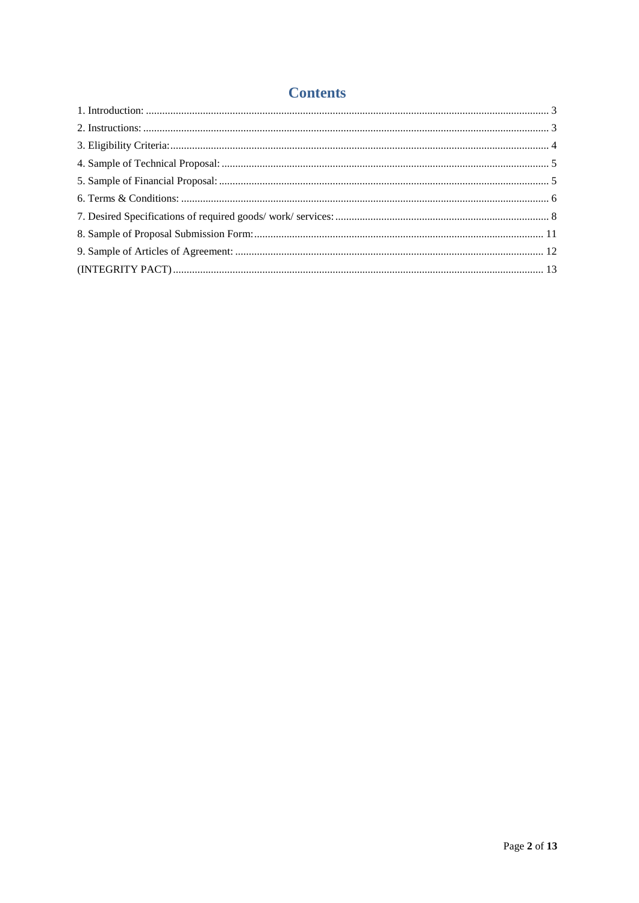## **Contents**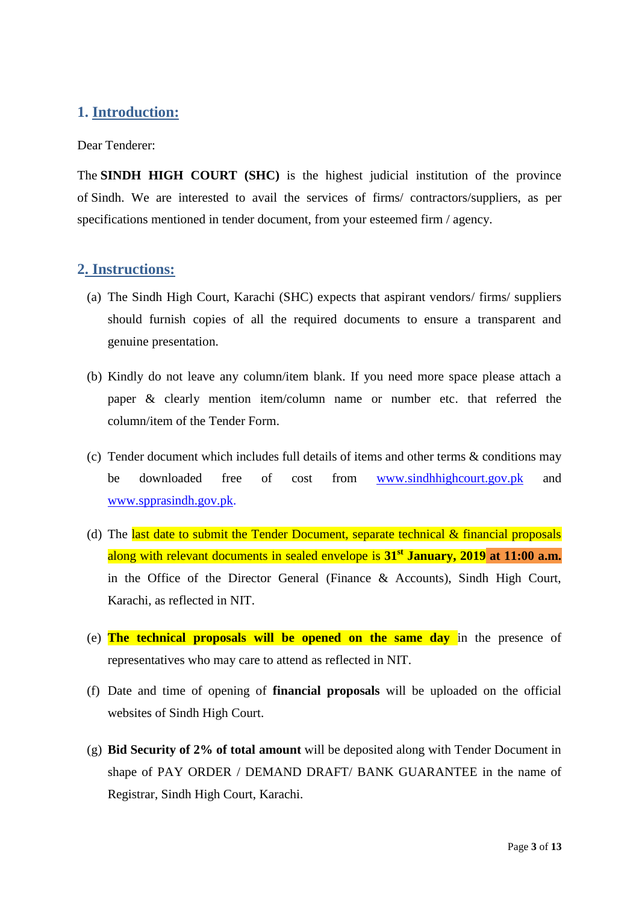## <span id="page-2-0"></span>**1. Introduction:**

Dear Tenderer:

The **SINDH HIGH COURT (SHC)** is the highest judicial institution of the province of [Sindh.](https://en.wikipedia.org/wiki/Sindh) We are interested to avail the services of firms/ contractors/suppliers, as per specifications mentioned in tender document, from your esteemed firm / agency.

## <span id="page-2-1"></span>**2. Instructions:**

- (a) The Sindh High Court, Karachi (SHC) expects that aspirant vendors/ firms/ suppliers should furnish copies of all the required documents to ensure a transparent and genuine presentation.
- (b) Kindly do not leave any column/item blank. If you need more space please attach a paper & clearly mention item/column name or number etc. that referred the column/item of the Tender Form.
- (c) Tender document which includes full details of items and other terms & conditions may be downloaded free of cost from [www.sindhhighcourt.gov.pk](http://www.sindhhighcourt.gov.pk/) and [www.spprasindh.gov.pk.](http://www.spprasindh.gov.pk/)
- (d) The last date to submit the Tender Document, separate technical  $\&$  financial proposals along with relevant documents in sealed envelope is **31st January, 2019 at 11:00 a.m.** in the Office of the Director General (Finance & Accounts), Sindh High Court, Karachi, as reflected in NIT.
- (e) **The technical proposals will be opened on the same day** in the presence of representatives who may care to attend as reflected in NIT.
- (f) Date and time of opening of **financial proposals** will be uploaded on the official websites of Sindh High Court.
- (g) **Bid Security of 2% of total amount** will be deposited along with Tender Document in shape of PAY ORDER / DEMAND DRAFT/ BANK GUARANTEE in the name of Registrar, Sindh High Court, Karachi.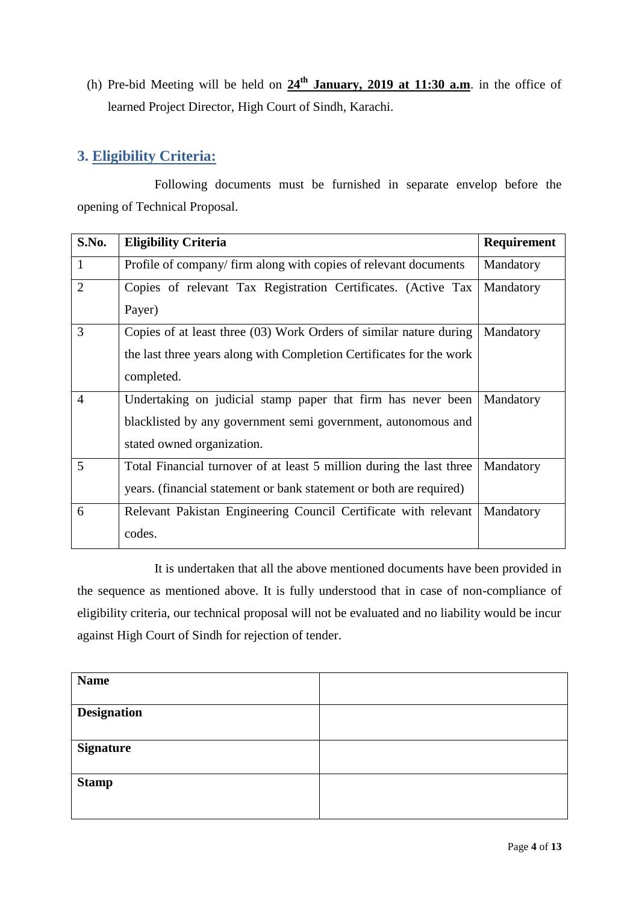(h) Pre-bid Meeting will be held on **24th January, 2019 at 11:30 a.m**. in the office of learned Project Director, High Court of Sindh, Karachi.

## <span id="page-3-0"></span>**3. Eligibility Criteria:**

Following documents must be furnished in separate envelop before the opening of Technical Proposal.

| S.No.          | <b>Eligibility Criteria</b>                                          | Requirement |
|----------------|----------------------------------------------------------------------|-------------|
| $\mathbf{1}$   | Profile of company/firm along with copies of relevant documents      | Mandatory   |
| $\overline{2}$ | Copies of relevant Tax Registration Certificates. (Active Tax        | Mandatory   |
|                | Payer)                                                               |             |
| 3              | Copies of at least three (03) Work Orders of similar nature during   | Mandatory   |
|                | the last three years along with Completion Certificates for the work |             |
|                | completed.                                                           |             |
| $\overline{4}$ | Undertaking on judicial stamp paper that firm has never been         | Mandatory   |
|                | blacklisted by any government semi government, autonomous and        |             |
|                | stated owned organization.                                           |             |
| 5              | Total Financial turnover of at least 5 million during the last three | Mandatory   |
|                | years. (financial statement or bank statement or both are required)  |             |
| 6              | Relevant Pakistan Engineering Council Certificate with relevant      | Mandatory   |
|                | codes.                                                               |             |

It is undertaken that all the above mentioned documents have been provided in the sequence as mentioned above. It is fully understood that in case of non-compliance of eligibility criteria, our technical proposal will not be evaluated and no liability would be incur against High Court of Sindh for rejection of tender.

| <b>Name</b>        |  |
|--------------------|--|
|                    |  |
| <b>Designation</b> |  |
|                    |  |
|                    |  |
|                    |  |
|                    |  |
| <b>Signature</b>   |  |
|                    |  |
|                    |  |
|                    |  |
| <b>Stamp</b>       |  |
|                    |  |
|                    |  |
|                    |  |
|                    |  |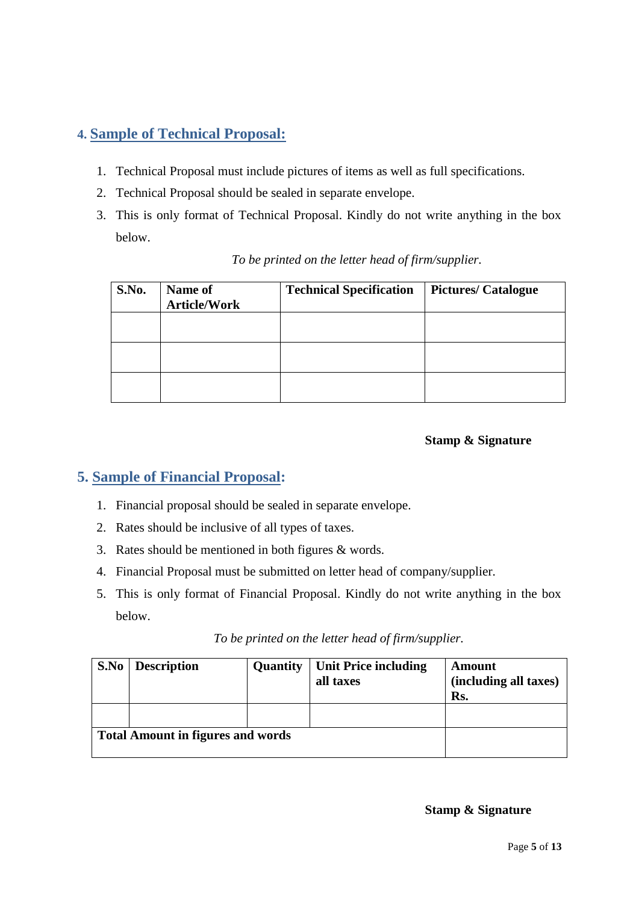## <span id="page-4-0"></span>**4. Sample of Technical Proposal:**

- 1. Technical Proposal must include pictures of items as well as full specifications.
- 2. Technical Proposal should be sealed in separate envelope.
- 3. This is only format of Technical Proposal. Kindly do not write anything in the box below.

| S.No. | <b>Name of</b><br><b>Article/Work</b> | <b>Technical Specification</b> | <b>Pictures/Catalogue</b> |
|-------|---------------------------------------|--------------------------------|---------------------------|
|       |                                       |                                |                           |
|       |                                       |                                |                           |
|       |                                       |                                |                           |

## *To be printed on the letter head of firm/supplier.*

### **Stamp & Signature**

## <span id="page-4-1"></span>**5. Sample of Financial Proposal:**

- 1. Financial proposal should be sealed in separate envelope.
- 2. Rates should be inclusive of all types of taxes.
- 3. Rates should be mentioned in both figures & words.
- 4. Financial Proposal must be submitted on letter head of company/supplier.
- 5. This is only format of Financial Proposal. Kindly do not write anything in the box below.

| S.No                                     | <b>Description</b> | Quantity | <b>Unit Price including</b><br>all taxes | Amount<br>(including all taxes)<br>Rs. |
|------------------------------------------|--------------------|----------|------------------------------------------|----------------------------------------|
|                                          |                    |          |                                          |                                        |
| <b>Total Amount in figures and words</b> |                    |          |                                          |                                        |

#### **Stamp & Signature**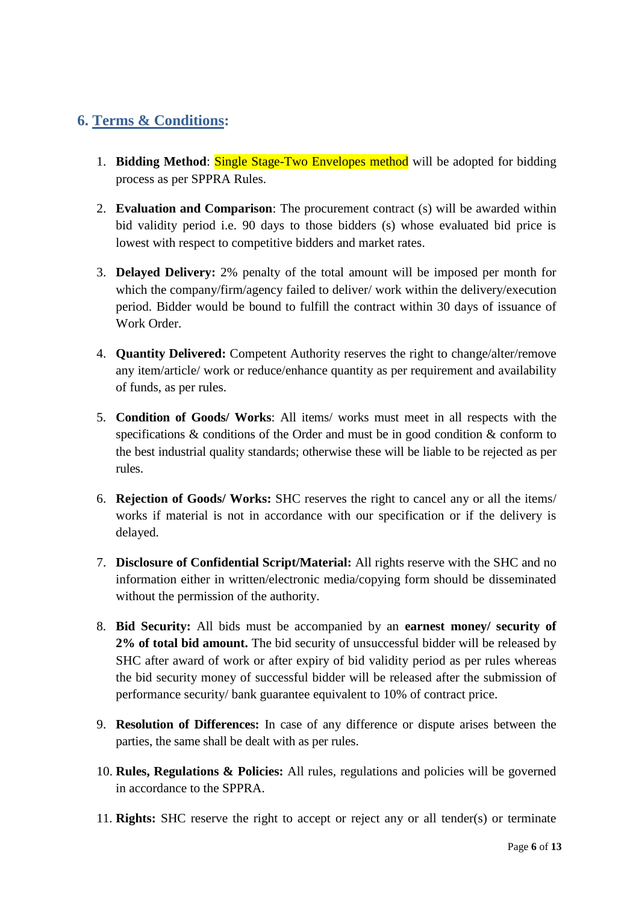## <span id="page-5-0"></span>**6. Terms & Conditions:**

- 1. **Bidding Method**: Single Stage-Two Envelopes method will be adopted for bidding process as per SPPRA Rules.
- 2. **Evaluation and Comparison**: The procurement contract (s) will be awarded within bid validity period i.e. 90 days to those bidders (s) whose evaluated bid price is lowest with respect to competitive bidders and market rates.
- 3. **Delayed Delivery:** 2% penalty of the total amount will be imposed per month for which the company/firm/agency failed to deliver/ work within the delivery/execution period. Bidder would be bound to fulfill the contract within 30 days of issuance of Work Order.
- 4. **Quantity Delivered:** Competent Authority reserves the right to change/alter/remove any item/article/ work or reduce/enhance quantity as per requirement and availability of funds, as per rules.
- 5. **Condition of Goods/ Works**: All items/ works must meet in all respects with the specifications & conditions of the Order and must be in good condition & conform to the best industrial quality standards; otherwise these will be liable to be rejected as per rules.
- 6. **Rejection of Goods/ Works:** SHC reserves the right to cancel any or all the items/ works if material is not in accordance with our specification or if the delivery is delayed.
- 7. **Disclosure of Confidential Script/Material:** All rights reserve with the SHC and no information either in written/electronic media/copying form should be disseminated without the permission of the authority.
- 8. **Bid Security:** All bids must be accompanied by an **earnest money/ security of 2% of total bid amount.** The bid security of unsuccessful bidder will be released by SHC after award of work or after expiry of bid validity period as per rules whereas the bid security money of successful bidder will be released after the submission of performance security/ bank guarantee equivalent to 10% of contract price.
- 9. **Resolution of Differences:** In case of any difference or dispute arises between the parties, the same shall be dealt with as per rules.
- 10. **Rules, Regulations & Policies:** All rules, regulations and policies will be governed in accordance to the SPPRA.
- 11. **Rights:** SHC reserve the right to accept or reject any or all tender(s) or terminate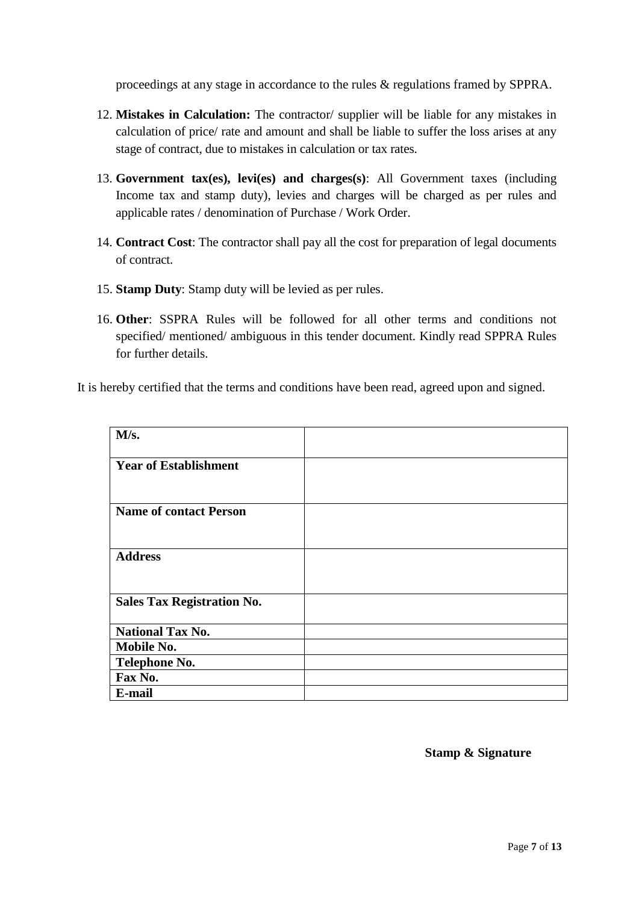proceedings at any stage in accordance to the rules & regulations framed by SPPRA.

- 12. **Mistakes in Calculation:** The contractor/ supplier will be liable for any mistakes in calculation of price/ rate and amount and shall be liable to suffer the loss arises at any stage of contract, due to mistakes in calculation or tax rates.
- 13. **Government tax(es), levi(es) and charges(s)**: All Government taxes (including Income tax and stamp duty), levies and charges will be charged as per rules and applicable rates / denomination of Purchase / Work Order.
- 14. **Contract Cost**: The contractor shall pay all the cost for preparation of legal documents of contract.
- 15. **Stamp Duty**: Stamp duty will be levied as per rules.
- 16. **Other**: SSPRA Rules will be followed for all other terms and conditions not specified/ mentioned/ ambiguous in this tender document. Kindly read SPPRA Rules for further details.

It is hereby certified that the terms and conditions have been read, agreed upon and signed.

| M/s.                              |  |
|-----------------------------------|--|
| <b>Year of Establishment</b>      |  |
|                                   |  |
| <b>Name of contact Person</b>     |  |
|                                   |  |
| <b>Address</b>                    |  |
|                                   |  |
| <b>Sales Tax Registration No.</b> |  |
| <b>National Tax No.</b>           |  |
| <b>Mobile No.</b>                 |  |
| <b>Telephone No.</b>              |  |
| Fax No.                           |  |
| E-mail                            |  |

**Stamp & Signature**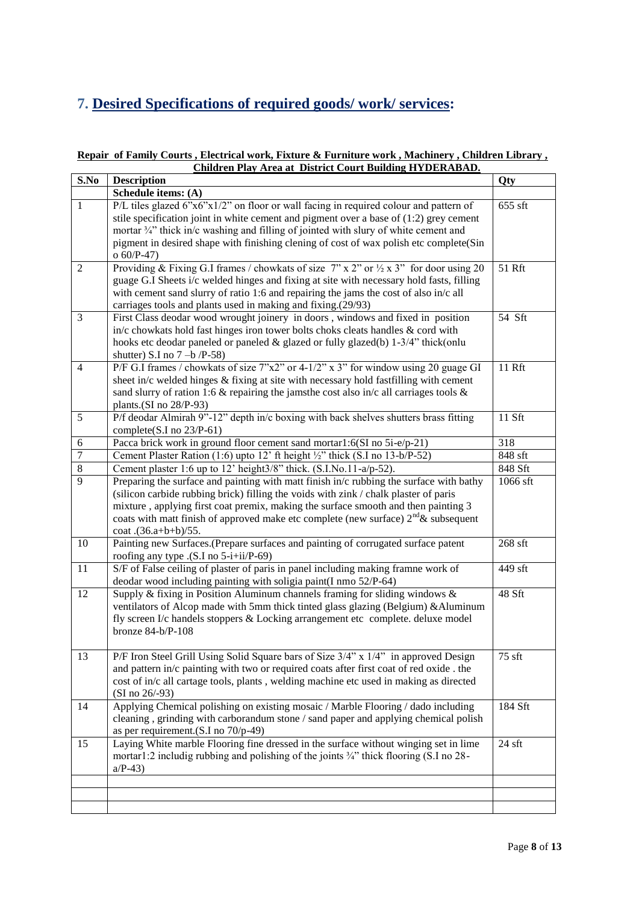# <span id="page-7-0"></span>**7. Desired Specifications of required goods/ work/ services:**

#### **Repair of Family Courts , Electrical work, Fixture & Furniture work , Machinery , Children Library , Children Play Area at District Court Building HYDERABAD.**

| S.No           | <b>Description</b>                                                                                                                                                                                                                                                                                                                                                                        | Qty      |
|----------------|-------------------------------------------------------------------------------------------------------------------------------------------------------------------------------------------------------------------------------------------------------------------------------------------------------------------------------------------------------------------------------------------|----------|
|                | Schedule items: (A)                                                                                                                                                                                                                                                                                                                                                                       |          |
| $\mathbf{1}$   | P/L tiles glazed 6"x6"x1/2" on floor or wall facing in required colour and pattern of<br>stile specification joint in white cement and pigment over a base of $(1:2)$ grey cement<br>mortar 3/4" thick in/c washing and filling of jointed with slury of white cement and<br>pigment in desired shape with finishing clening of cost of wax polish etc complete(Sin<br>$o 60/P-47$        | 655 sft  |
| $\overline{2}$ | Providing & Fixing G.I frames / chowkats of size $7$ " x 2" or $\frac{1}{2}$ x 3" for door using 20<br>guage G.I Sheets i/c welded hinges and fixing at site with necessary hold fasts, filling<br>with cement sand slurry of ratio 1:6 and repairing the jams the cost of also in/c all<br>carriages tools and plants used in making and fixing.(29/93)                                  | 51 Rft   |
| 3              | First Class deodar wood wrought joinery in doors, windows and fixed in position<br>in/c chowkats hold fast hinges iron tower bolts choks cleats handles & cord with<br>hooks etc deodar paneled or paneled & glazed or fully glazed(b) 1-3/4" thick(onlu<br>shutter) S.I no $7 -b$ /P-58)                                                                                                 | 54 Sft   |
| $\overline{4}$ | P/F G.I frames / chowkats of size 7"x2" or 4-1/2" x 3" for window using 20 guage GI<br>sheet in/c welded hinges & fixing at site with necessary hold fastfilling with cement<br>sand slurry of ration 1:6 $\&$ repairing the jamsthe cost also in/c all carriages tools $\&$<br>plants.(SI no 28/P-93)                                                                                    | 11 Rft   |
| 5              | P/f deodar Almirah 9"-12" depth in/c boxing with back shelves shutters brass fitting<br>complete(S.I no $23/P-61$ )                                                                                                                                                                                                                                                                       | 11 Sft   |
| 6              | Pacca brick work in ground floor cement sand mortar1:6(SI no 5i-e/p-21)                                                                                                                                                                                                                                                                                                                   | 318      |
| $\overline{7}$ | Cement Plaster Ration (1:6) upto 12' ft height 1/2" thick (S.I no 13-b/P-52)                                                                                                                                                                                                                                                                                                              | 848 sft  |
| $\overline{8}$ | Cement plaster 1:6 up to 12' height3/8" thick. (S.I.No.11-a/p-52).                                                                                                                                                                                                                                                                                                                        | 848 Sft  |
| $\overline{9}$ | Preparing the surface and painting with matt finish in/c rubbing the surface with bathy<br>(silicon carbide rubbing brick) filling the voids with zink / chalk plaster of paris<br>mixture, applying first coat premix, making the surface smooth and then painting 3<br>coats with matt finish of approved make etc complete (new surface) $2^{nd}$ & subsequent<br>coat .(36.a+b+b)/55. | 1066 sft |
| 10             | Painting new Surfaces.(Prepare surfaces and painting of corrugated surface patent<br>roofing any type .(S.I no 5-i+ii/P-69)                                                                                                                                                                                                                                                               | 268 sft  |
| 11             | S/F of False ceiling of plaster of paris in panel including making framne work of<br>deodar wood including painting with soligia paint(I nmo 52/P-64)                                                                                                                                                                                                                                     | 449 sft  |
| 12             | Supply & fixing in Position Aluminum channels framing for sliding windows $\&$<br>ventilators of Alcop made with 5mm thick tinted glass glazing (Belgium) & Aluminum<br>fly screen I/c handels stoppers & Locking arrangement etc complete. deluxe model<br>bronze 84-b/P-108                                                                                                             | 48 Sft   |
| 13             | $P/F$ Iron Steel Grill Using Solid Square bars of Size $3/4$ " x $1/4$ " in approved Design<br>and pattern in/c painting with two or required coats after first coat of red oxide . the<br>cost of in/c all cartage tools, plants, welding machine etc used in making as directed<br>$(SI \text{ no } 26/-93)$                                                                            | 75 sft   |
| 14             | Applying Chemical polishing on existing mosaic / Marble Flooring / dado including<br>cleaning, grinding with carborandum stone / sand paper and applying chemical polish<br>as per requirement. $(S.I no 70/p-49)$                                                                                                                                                                        | 184 Sft  |
| 15             | Laying White marble Flooring fine dressed in the surface without winging set in lime<br>mortar1:2 includig rubbing and polishing of the joints 3/4" thick flooring (S.I no 28-<br>$a/P-43$                                                                                                                                                                                                | $24$ sft |
|                |                                                                                                                                                                                                                                                                                                                                                                                           |          |
|                |                                                                                                                                                                                                                                                                                                                                                                                           |          |
|                |                                                                                                                                                                                                                                                                                                                                                                                           |          |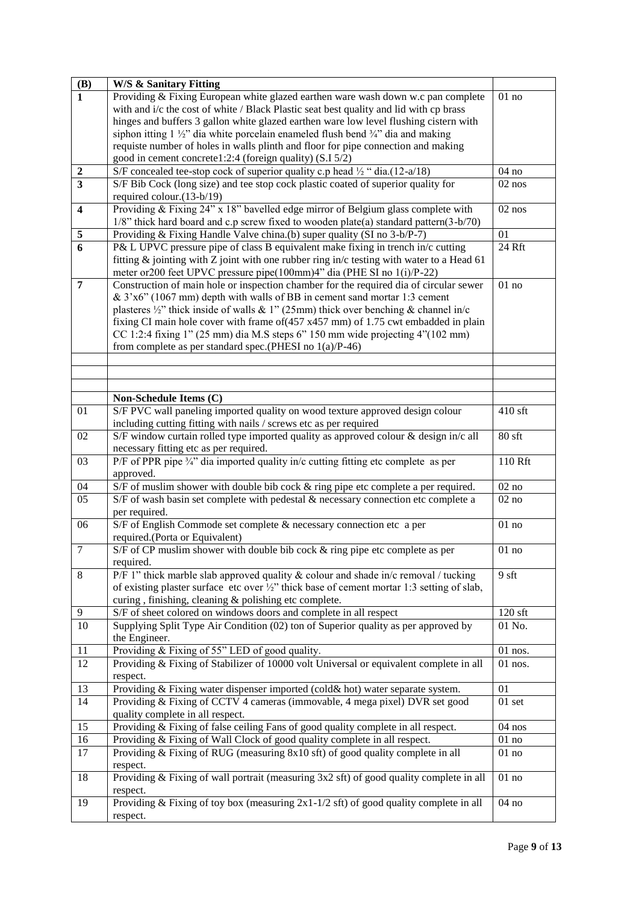| <b>(B)</b>              | <b>W/S &amp; Sanitary Fitting</b>                                                                     |                      |
|-------------------------|-------------------------------------------------------------------------------------------------------|----------------------|
| $\overline{1}$          | Providing & Fixing European white glazed earthen ware wash down w.c pan complete                      | 01 no                |
|                         | with and i/c the cost of white / Black Plastic seat best quality and lid with cp brass                |                      |
|                         | hinges and buffers 3 gallon white glazed earthen ware low level flushing cistern with                 |                      |
|                         | siphon itting $1\frac{1}{2}$ dia white porcelain enameled flush bend $\frac{3}{4}$ dia and making     |                      |
|                         | requiste number of holes in walls plinth and floor for pipe connection and making                     |                      |
|                         | good in cement concrete1:2:4 (foreign quality) (S.I 5/2)                                              |                      |
| $\boldsymbol{2}$        | S/F concealed tee-stop cock of superior quality c.p head 1/2 " dia.(12-a/18)                          | 04 no                |
| $\overline{3}$          | S/F Bib Cock (long size) and tee stop cock plastic coated of superior quality for                     | $02$ nos             |
|                         | required colour.(13-b/19)                                                                             |                      |
| $\overline{\mathbf{4}}$ | Providing $&$ Fixing 24" x 18" bavelled edge mirror of Belgium glass complete with                    | $02$ nos             |
|                         | 1/8" thick hard board and c.p screw fixed to wooden plate(a) standard pattern(3-b/70)                 |                      |
| $\sqrt{5}$              | Providing & Fixing Handle Valve china.(b) super quality (SI no 3-b/P-7)                               | 01                   |
| $\overline{6}$          | P& L UPVC pressure pipe of class B equivalent make fixing in trench in/c cutting                      | 24 Rft               |
|                         | fitting & jointing with Z joint with one rubber ring in/c testing with water to a Head 61             |                      |
|                         | meter or 200 feet UPVC pressure pipe (100mm) 4" dia (PHE SI no 1(i)/P-22)                             |                      |
| $\overline{7}$          | Construction of main hole or inspection chamber for the required dia of circular sewer                | $01$ no              |
|                         | & 3'x6" (1067 mm) depth with walls of BB in cement sand mortar 1:3 cement                             |                      |
|                         | plasteres $\frac{1}{2}$ " thick inside of walls & 1" (25mm) thick over benching & channel in/c        |                      |
|                         | fixing CI main hole cover with frame of (457 x457 mm) of 1.75 cwt embadded in plain                   |                      |
|                         | CC 1:2:4 fixing $1$ " (25 mm) dia M.S steps $6$ " 150 mm wide projecting $4$ "(102 mm)                |                      |
|                         | from complete as per standard spec. (PHESI no $1(a)/P-46$ )                                           |                      |
|                         |                                                                                                       |                      |
|                         |                                                                                                       |                      |
|                         |                                                                                                       |                      |
|                         | Non-Schedule Items (C)                                                                                |                      |
| 01                      | S/F PVC wall paneling imported quality on wood texture approved design colour                         | 410 sft              |
|                         | including cutting fitting with nails / screws etc as per required                                     |                      |
| 02                      | S/F window curtain rolled type imported quality as approved colour & design in/c all                  | $80$ sft             |
|                         | necessary fitting etc as per required.                                                                |                      |
| 03                      | P/F of PPR pipe 3/4" dia imported quality in/c cutting fitting etc complete as per                    | 110 Rft              |
| 04                      | approved.                                                                                             |                      |
|                         | S/F of muslim shower with double bib cock & ring pipe etc complete a per required.                    | $\overline{0}2$ no   |
| 05                      | S/F of wash basin set complete with pedestal & necessary connection etc complete a                    | 02no                 |
| 06                      | per required.<br>S/F of English Commode set complete & necessary connection etc a per                 | $01$ no              |
|                         | required.(Porta or Equivalent)                                                                        |                      |
| $\tau$                  | S/F of CP muslim shower with double bib cock & ring pipe etc complete as per                          | $01$ no              |
|                         | required.                                                                                             |                      |
| 8                       | P/F 1" thick marble slab approved quality $&$ colour and shade in/c removal / tucking                 | 9 sft                |
|                         | of existing plaster surface etc over $\frac{1}{2}$ " thick base of cement mortar 1:3 setting of slab, |                      |
|                         | curing, finishing, cleaning & polishing etc complete.                                                 |                      |
| 9                       | S/F of sheet colored on windows doors and complete in all respect                                     | $120$ sft            |
| 10                      | Supplying Split Type Air Condition (02) ton of Superior quality as per approved by                    | 01 No.               |
|                         | the Engineer.                                                                                         |                      |
| $\overline{11}$         | Providing & Fixing of 55" LED of good quality.                                                        | $\overline{0}1$ nos. |
| $\overline{12}$         | Providing & Fixing of Stabilizer of 10000 volt Universal or equivalent complete in all                | 01 nos.              |
|                         | respect.                                                                                              |                      |
| $\overline{13}$         | Providing & Fixing water dispenser imported (cold& hot) water separate system.                        | 01                   |
| $\overline{14}$         | Providing & Fixing of CCTV 4 cameras (immovable, 4 mega pixel) DVR set good                           | $01$ set             |
|                         | quality complete in all respect.                                                                      |                      |
| 15                      | Providing & Fixing of false ceiling Fans of good quality complete in all respect.                     | $04$ nos             |
| 16                      | Providing & Fixing of Wall Clock of good quality complete in all respect.                             | $01$ no              |
| 17                      | Providing & Fixing of RUG (measuring 8x10 sft) of good quality complete in all                        | $01$ no              |
|                         | respect.                                                                                              |                      |
| $\overline{18}$         | Providing & Fixing of wall portrait (measuring $3x2$ sft) of good quality complete in all             | $01$ no              |
|                         | respect.                                                                                              |                      |
| 19                      | Providing & Fixing of toy box (measuring $2x1-1/2$ sft) of good quality complete in all               | 04 no                |
|                         | respect.                                                                                              |                      |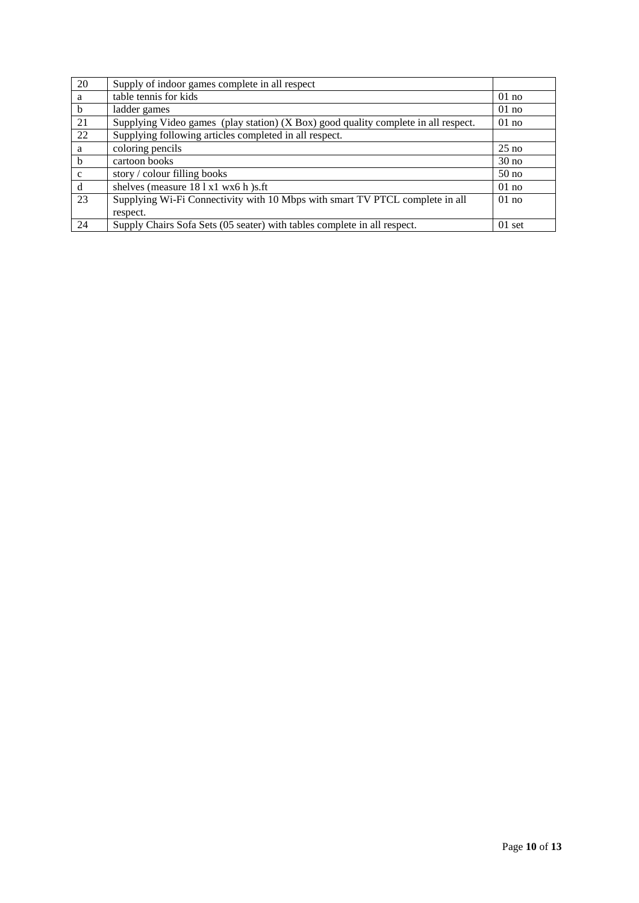| 20           | Supply of indoor games complete in all respect                                     |                  |
|--------------|------------------------------------------------------------------------------------|------------------|
| a            | table tennis for kids                                                              | $01$ no          |
| b            | ladder games                                                                       | $01$ no          |
| 21           | Supplying Video games (play station) (X Box) good quality complete in all respect. | $01$ no          |
| 22           | Supplying following articles completed in all respect.                             |                  |
| a            | coloring pencils                                                                   | $25$ no          |
| b            | cartoon books                                                                      | 30 <sub>no</sub> |
| $\mathbf{C}$ | story / colour filling books                                                       | 50 <sub>no</sub> |
| d            | shelves (measure 181x1 wx6 h)s.ft                                                  | $01$ no          |
| 23           | Supplying Wi-Fi Connectivity with 10 Mbps with smart TV PTCL complete in all       | $01$ no          |
|              | respect.                                                                           |                  |
| 24           | Supply Chairs Sofa Sets (05 seater) with tables complete in all respect.           | $01$ set         |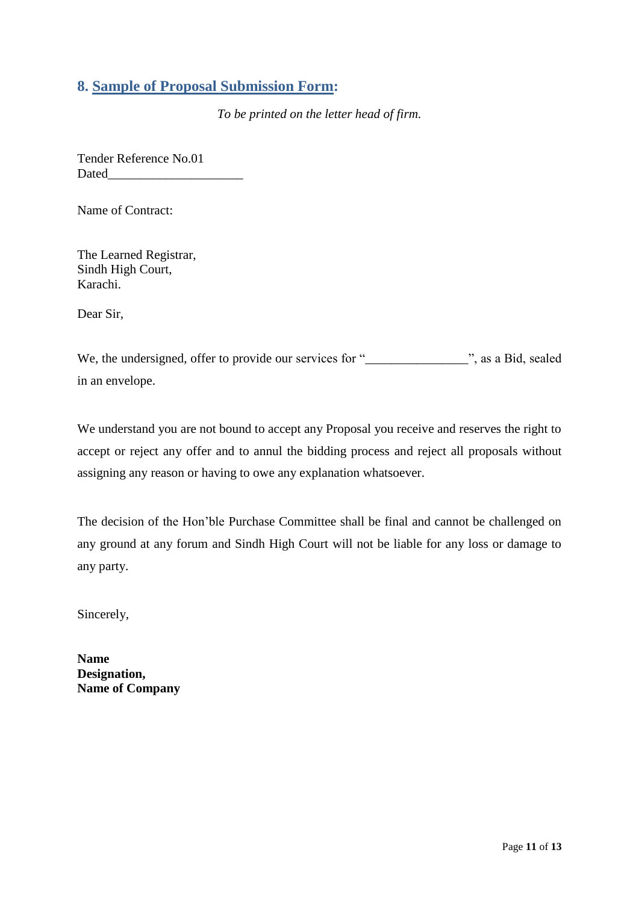## <span id="page-10-0"></span>**8. Sample of Proposal Submission Form:**

*To be printed on the letter head of firm.*

Tender Reference No.01 Dated

Name of Contract:

The Learned Registrar, Sindh High Court, Karachi.

Dear Sir,

We, the undersigned, offer to provide our services for "\_\_\_\_\_\_\_\_\_\_\_\_\_\_\_\_\_\_\_\_", as a Bid, sealed in an envelope.

We understand you are not bound to accept any Proposal you receive and reserves the right to accept or reject any offer and to annul the bidding process and reject all proposals without assigning any reason or having to owe any explanation whatsoever.

The decision of the Hon"ble Purchase Committee shall be final and cannot be challenged on any ground at any forum and Sindh High Court will not be liable for any loss or damage to any party.

Sincerely,

**Name Designation, Name of Company**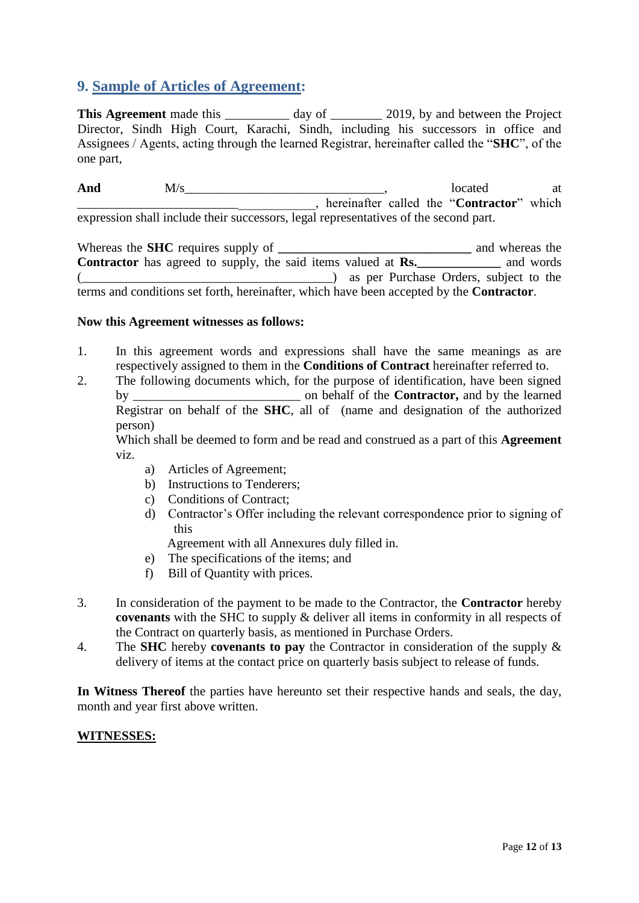## <span id="page-11-0"></span>**9. Sample of Articles of Agreement:**

This Agreement made this \_\_\_\_\_\_\_\_\_ day of \_\_\_\_\_\_\_\_ 2019, by and between the Project Director, Sindh High Court, Karachi, Sindh, including his successors in office and Assignees / Agents, acting through the learned Registrar, hereinafter called the "**SHC**", of the one part,

And M/s <u>\_\_\_\_\_\_\_\_\_\_\_\_\_\_\_\_\_\_</u>, located at \_\_\_\_\_\_\_\_\_\_\_\_\_\_\_\_\_\_\_\_\_\_\_\_\_\_\_\_\_\_\_\_\_\_\_\_\_, hereinafter called the "**Contractor**" which expression shall include their successors, legal representatives of the second part.

Whereas the **SHC** requires supply of **\_\_\_\_\_\_\_\_\_\_\_\_\_\_\_\_\_\_\_\_\_\_\_\_\_\_\_** and whereas the **Contractor** has agreed to supply, the said items valued at **Rs.** and words (\_\_\_\_\_\_\_\_\_\_\_\_\_\_\_\_\_\_\_\_\_\_\_\_\_\_\_\_\_\_\_\_\_\_\_\_\_\_\_) as per Purchase Orders, subject to the terms and conditions set forth, hereinafter, which have been accepted by the **Contractor**.

#### **Now this Agreement witnesses as follows:**

- 1. In this agreement words and expressions shall have the same meanings as are respectively assigned to them in the **Conditions of Contract** hereinafter referred to.
- 2. The following documents which, for the purpose of identification, have been signed by \_\_\_\_\_\_\_\_\_\_\_\_\_\_\_\_\_\_\_\_\_\_\_\_\_\_ on behalf of the **Contractor,** and by the learned Registrar on behalf of the **SHC**, all of (name and designation of the authorized person)

Which shall be deemed to form and be read and construed as a part of this **Agreement**  viz.

- a) Articles of Agreement;
- b) Instructions to Tenderers;
- c) Conditions of Contract;
- d) Contractor"s Offer including the relevant correspondence prior to signing of this

Agreement with all Annexures duly filled in.

- e) The specifications of the items; and
- f) Bill of Quantity with prices.
- 3. In consideration of the payment to be made to the Contractor, the **Contractor** hereby **covenants** with the SHC to supply & deliver all items in conformity in all respects of the Contract on quarterly basis, as mentioned in Purchase Orders.
- 4. The **SHC** hereby **covenants to pay** the Contractor in consideration of the supply & delivery of items at the contact price on quarterly basis subject to release of funds.

**In Witness Thereof** the parties have hereunto set their respective hands and seals, the day, month and year first above written.

#### **WITNESSES:**